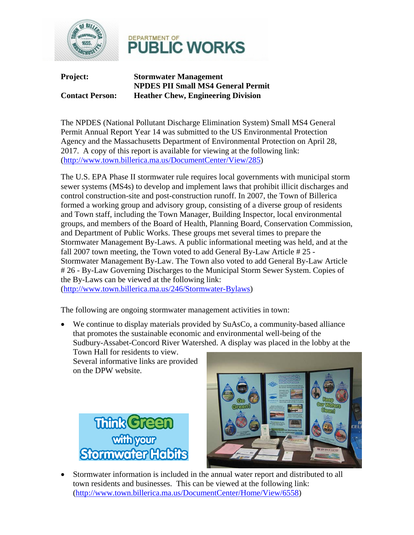



**Project: Stormwater Management NPDES PII Small MS4 General Permit Contact Person: Heather Chew, Engineering Division** 

The NPDES (National Pollutant Discharge Elimination System) Small MS4 General Permit Annual Report Year 14 was submitted to the US Environmental Protection Agency and the Massachusetts Department of Environmental Protection on April 28, 2017. A copy of this report is available for viewing at the following link: (http://www.town.billerica.ma.us/DocumentCenter/View/285)

The U.S. EPA Phase II stormwater rule requires local governments with municipal storm sewer systems (MS4s) to develop and implement laws that prohibit illicit discharges and control construction-site and post-construction runoff. In 2007, the Town of Billerica formed a working group and advisory group, consisting of a diverse group of residents and Town staff, including the Town Manager, Building Inspector, local environmental groups, and members of the Board of Health, Planning Board, Conservation Commission, and Department of Public Works. These groups met several times to prepare the Stormwater Management By-Laws. A public informational meeting was held, and at the fall 2007 town meeting, the Town voted to add General By-Law Article # 25 - Stormwater Management By-Law. The Town also voted to add General By-Law Article # 26 - By-Law Governing Discharges to the Municipal Storm Sewer System. Copies of the By-Laws can be viewed at the following link:

(http://www.town.billerica.ma.us/246/Stormwater-Bylaws)

The following are ongoing stormwater management activities in town:

• We continue to display materials provided by SuAsCo, a community-based alliance that promotes the sustainable economic and environmental well-being of the Sudbury-Assabet-Concord River Watershed. A display was placed in the lobby at the Town Hall for residents to view.

Several informative links are provided on the DPW website.





• Stormwater information is included in the annual water report and distributed to all town residents and businesses. This can be viewed at the following link: (http://www.town.billerica.ma.us/DocumentCenter/Home/View/6558)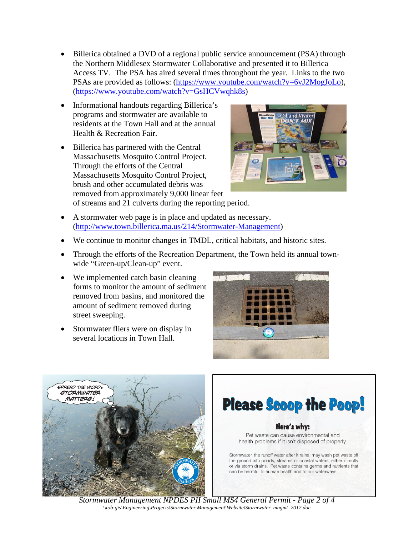- Billerica obtained a DVD of a regional public service announcement (PSA) through the Northern Middlesex Stormwater Collaborative and presented it to Billerica Access TV. The PSA has aired several times throughout the year. Links to the two PSAs are provided as follows: (https://www.youtube.com/watch?v=6vJ2MogJoLo), (https://www.youtube.com/watch?v=GsHCVwqhk8s)
- Informational handouts regarding Billerica's programs and stormwater are available to residents at the Town Hall and at the annual Health & Recreation Fair.
- Billerica has partnered with the Central Massachusetts Mosquito Control Project. Through the efforts of the Central Massachusetts Mosquito Control Project, brush and other accumulated debris was removed from approximately 9,000 linear feet of streams and 21 culverts during the reporting period.



- A stormwater web page is in place and updated as necessary. (http://www.town.billerica.ma.us/214/Stormwater-Management)
- We continue to monitor changes in TMDL, critical habitats, and historic sites.
- Through the efforts of the Recreation Department, the Town held its annual townwide "Green-up/Clean-up" event.
- We implemented catch basin cleaning forms to monitor the amount of sediment removed from basins, and monitored the amount of sediment removed during street sweeping.
- Stormwater fliers were on display in several locations in Town Hall.







*Stormwater Management NPDES PII Small MS4 General Permit - Page 2 of 4 \\tob-gis\Engineering\Projects\Stormwater Management\Website\Stormwater\_mngmt\_2017.doc*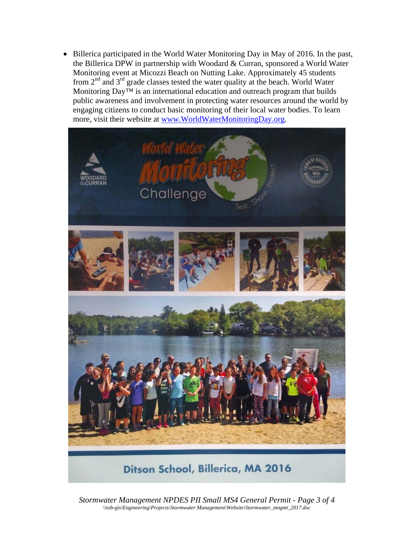• Billerica participated in the World Water Monitoring Day in May of 2016. In the past, the Billerica DPW in partnership with Woodard & Curran, sponsored a World Water Monitoring event at Micozzi Beach on Nutting Lake. Approximately 45 students from  $2<sup>nd</sup>$  and  $3<sup>rd</sup>$  grade classes tested the water quality at the beach. World Water Monitoring  $\sum_{n=0}^{\infty}$  is an international education and outreach program that builds public awareness and involvement in protecting water resources around the world by engaging citizens to conduct basic monitoring of their local water bodies. To learn more, visit their website at www.WorldWaterMonitoringDay.org.



*Stormwater Management NPDES PII Small MS4 General Permit - Page 3 of 4 \\tob-gis\Engineering\Projects\Stormwater Management\Website\Stormwater\_mngmt\_2017.doc*